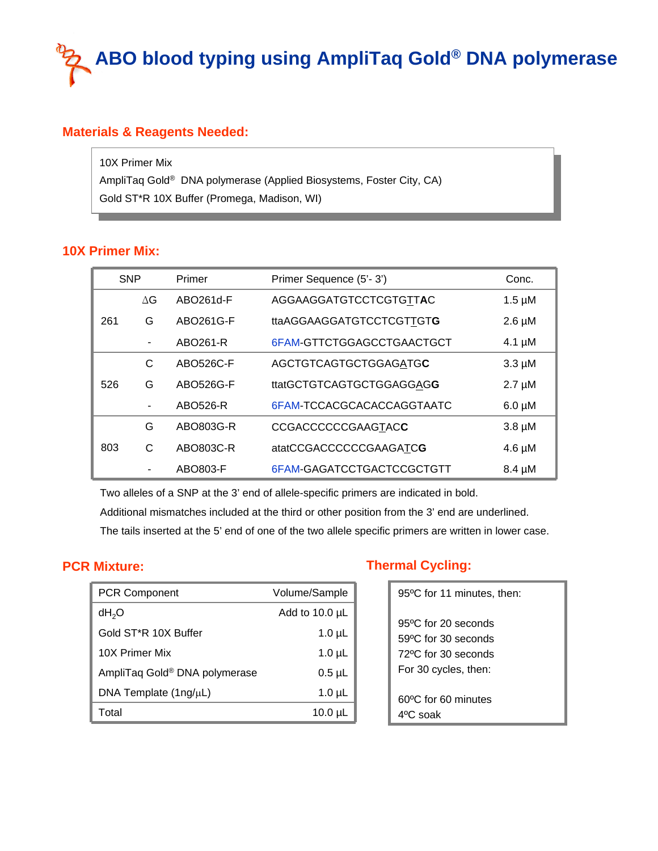# **ABO blood typing using AmpliTaq Gold® DNA polymerase**

## **Materials & Reagents Needed:**

10X Primer Mix 10X Primer Mix AmpliTaq Gold® DNA polymerase (Applied Biosystems, Foster City, CA) AmpliTaq Gold® DNA polymerase (Applied Biosystems, Foster City, CA) Gold ST\*R 10X Buffer (Promega, Madison, WI) Gold ST\*R 10X Buffer (Promega, Madison, WI)

#### **10X Primer Mix:**

| <b>SNP</b> |            | Primer    | Primer Sequence (5'-3')   | Conc.       |
|------------|------------|-----------|---------------------------|-------------|
| 261        | $\Delta G$ | ABO261d-F | AGGAAGGATGTCCTCGTGTTAC    | $1.5 \mu M$ |
|            | G          | ABO261G-F | ttaAGGAAGGATGTCCTCGTTGTG  | $2.6 \mu M$ |
|            | -          | ABO261-R  | 6FAM-GTTCTGGAGCCTGAACTGCT | 4.1 $\mu$ M |
| 526        | C          | ABO526C-F | AGCTGTCAGTGCTGGAGATGC     | $3.3 \mu M$ |
|            | G          | ABO526G-F | ttatGCTGTCAGTGCTGGAGGAGG  | $2.7 \mu M$ |
|            |            | ABO526-R  | 6FAM-TCCACGCACACCAGGTAATC | $6.0 \mu M$ |
| 803        | G          | ABO803G-R | <b>CCGACCCCCCGAAGTACC</b> | $3.8 \mu M$ |
|            | C          | ABO803C-R | atatCCGACCCCCCGAAGATCG    | $4.6 \mu M$ |
|            |            | ABO803-F  | 6FAM-GAGATCCTGACTCCGCTGTT | $8.4 \mu M$ |

Two alleles of a SNP at the 3' end of allele-specific primers are indicated in bold.

Additional mismatches included at the third or other position from the 3' end are underlined.

The tails inserted at the 5' end of one of the two allele specific primers are written in lower case.

#### **PCR Mixture:**

| <b>PCR Component</b>              | Volume/Sample       |
|-----------------------------------|---------------------|
| dH <sub>2</sub> O                 | Add to $10.0 \mu L$ |
| Gold ST <sup>*</sup> R 10X Buffer | $1.0 \mu L$         |
| 10X Primer Mix                    | $1.0 \mu L$         |
| AmpliTaq Gold® DNA polymerase     | $0.5$ µL            |
| DNA Template $(1ng/\mu L)$        | $1.0 \mu L$         |
| Total                             | $10.0 \mu L$        |

## **Thermal Cycling:**

| 95°C for 11 minutes, then:                                |
|-----------------------------------------------------------|
| 95°C for 20 seconds<br>59°C for 30 seconds                |
| 72 <sup>o</sup> C for 30 seconds<br>For 30 cycles, then:  |
| 60 <sup>o</sup> C for 60 minutes<br>4 <sup>o</sup> C soak |
|                                                           |